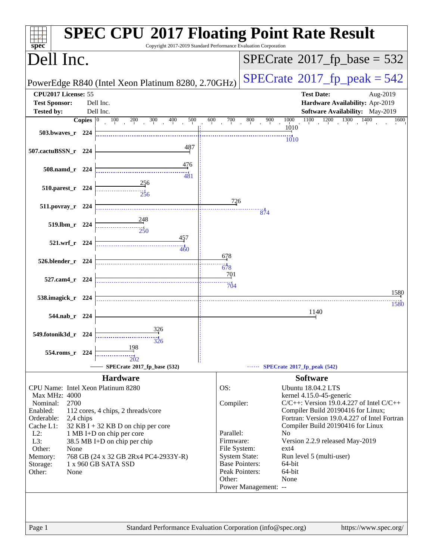| spec <sup>®</sup>                                                                  | <b>SPEC CPU®2017 Floating Point Rate Result</b><br>Copyright 2017-2019 Standard Performance Evaluation Corporation |
|------------------------------------------------------------------------------------|--------------------------------------------------------------------------------------------------------------------|
| Dell Inc.                                                                          | $SPECrate^{\circ}2017$ [p base = 532                                                                               |
| PowerEdge R840 (Intel Xeon Platinum 8280, 2.70GHz)                                 | $SPECrate@2017_fp\_peak = 542$                                                                                     |
| CPU2017 License: 55                                                                | <b>Test Date:</b><br>Aug-2019                                                                                      |
| <b>Test Sponsor:</b><br>Dell Inc.                                                  | Hardware Availability: Apr-2019                                                                                    |
| <b>Tested by:</b><br>Dell Inc.                                                     | Software Availability: May-2019                                                                                    |
| 500<br>Copies $ 0 $<br>$\overline{100}$<br>200<br>300<br>400<br>600                | 700<br>800<br>$1100$ $1200$ $1300$<br>900<br>1000<br>1400<br>1600<br>1010                                          |
| 503.bwaves_r 224                                                                   |                                                                                                                    |
| 487                                                                                | 1010                                                                                                               |
| 507.cactuBSSN_r 224                                                                |                                                                                                                    |
| 476                                                                                |                                                                                                                    |
| 508.namd_r 224<br>481                                                              |                                                                                                                    |
| $\frac{256}{1}$<br>510.parest_r 224                                                |                                                                                                                    |
| $2\frac{1}{2}6$                                                                    |                                                                                                                    |
| 511.povray_r 224                                                                   | 726                                                                                                                |
| 248                                                                                | 874                                                                                                                |
| 519.lbm_r 224<br>250                                                               |                                                                                                                    |
| 457                                                                                |                                                                                                                    |
| 521.wrf_r 224<br>460                                                               |                                                                                                                    |
|                                                                                    | 678                                                                                                                |
| 526.blender_r 224                                                                  | $\frac{11}{678}$                                                                                                   |
| 527.cam4_r 224                                                                     | 701                                                                                                                |
|                                                                                    | 704                                                                                                                |
| 538.imagick_r 224                                                                  | 1580                                                                                                               |
|                                                                                    | 1580<br>1140                                                                                                       |
| 544.nab_r 224                                                                      |                                                                                                                    |
| 326                                                                                |                                                                                                                    |
| 549.fotonik3d_r 224<br>$\frac{1}{326}$                                             |                                                                                                                    |
| 198<br>554.roms_r 224                                                              |                                                                                                                    |
| 202                                                                                |                                                                                                                    |
| SPECrate®2017_fp_base (532)                                                        | SPECrate®2017_fp_peak (542)                                                                                        |
| <b>Hardware</b>                                                                    | <b>Software</b>                                                                                                    |
| CPU Name: Intel Xeon Platinum 8280<br>Max MHz: 4000                                | OS:<br><b>Ubuntu 18.04.2 LTS</b><br>kernel 4.15.0-45-generic                                                       |
| Nominal:<br>2700                                                                   | $C/C++$ : Version 19.0.4.227 of Intel $C/C++$<br>Compiler:                                                         |
| Enabled:<br>112 cores, 4 chips, 2 threads/core                                     | Compiler Build 20190416 for Linux;                                                                                 |
| Orderable:<br>2,4 chips<br>Cache L1:                                               | Fortran: Version 19.0.4.227 of Intel Fortran<br>Compiler Build 20190416 for Linux                                  |
| $32$ KB I + 32 KB D on chip per core<br>$L2$ :<br>1 MB I+D on chip per core        | Parallel:<br>No                                                                                                    |
| L3:<br>38.5 MB I+D on chip per chip                                                | Firmware:<br>Version 2.2.9 released May-2019                                                                       |
| Other:<br>None                                                                     | File System:<br>ext4<br><b>System State:</b><br>Run level 5 (multi-user)                                           |
| 768 GB (24 x 32 GB 2Rx4 PC4-2933Y-R)<br>Memory:<br>1 x 960 GB SATA SSD<br>Storage: | <b>Base Pointers:</b><br>64-bit                                                                                    |
| Other:<br>None                                                                     | Peak Pointers:<br>64-bit                                                                                           |
|                                                                                    | None<br>Other:<br>Power Management: --                                                                             |
|                                                                                    |                                                                                                                    |
|                                                                                    |                                                                                                                    |
|                                                                                    |                                                                                                                    |
| Page 1                                                                             | Standard Performance Evaluation Corporation (info@spec.org)<br>https://www.spec.org/                               |
|                                                                                    |                                                                                                                    |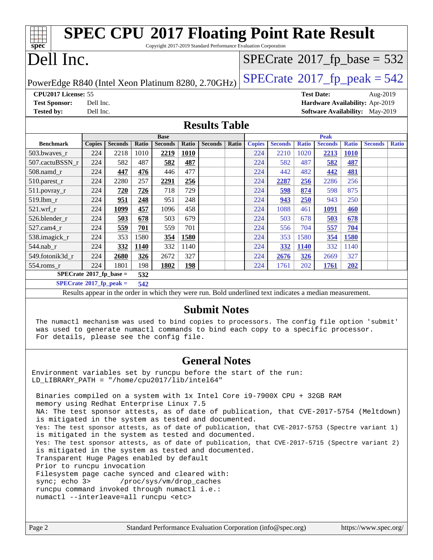| <b>SPEC CPU®2017 Floating Point Rate Result</b><br>Copyright 2017-2019 Standard Performance Evaluation Corporation<br>spec <sup>®</sup> |                                                      |                |       |                |       |                |       |               |                |              |                |              |                                        |              |
|-----------------------------------------------------------------------------------------------------------------------------------------|------------------------------------------------------|----------------|-------|----------------|-------|----------------|-------|---------------|----------------|--------------|----------------|--------------|----------------------------------------|--------------|
| Dell Inc.<br>$SPECrate$ <sup>®</sup> 2017_fp_base = 532                                                                                 |                                                      |                |       |                |       |                |       |               |                |              |                |              |                                        |              |
| $SPECTate$ <sup>®</sup> 2017_fp_peak = 542<br>PowerEdge R840 (Intel Xeon Platinum 8280, 2.70GHz)                                        |                                                      |                |       |                |       |                |       |               |                |              |                |              |                                        |              |
|                                                                                                                                         | CPU2017 License: 55<br><b>Test Date:</b><br>Aug-2019 |                |       |                |       |                |       |               |                |              |                |              |                                        |              |
| <b>Test Sponsor:</b>                                                                                                                    | Dell Inc.                                            |                |       |                |       |                |       |               |                |              |                |              | Hardware Availability: Apr-2019        |              |
| <b>Tested by:</b>                                                                                                                       | Dell Inc.                                            |                |       |                |       |                |       |               |                |              |                |              | <b>Software Availability:</b> May-2019 |              |
|                                                                                                                                         | <b>Results Table</b>                                 |                |       |                |       |                |       |               |                |              |                |              |                                        |              |
|                                                                                                                                         |                                                      |                |       | <b>Base</b>    |       |                |       |               |                |              | <b>Peak</b>    |              |                                        |              |
| <b>Benchmark</b>                                                                                                                        | <b>Copies</b>                                        | <b>Seconds</b> | Ratio | <b>Seconds</b> | Ratio | <b>Seconds</b> | Ratio | <b>Copies</b> | <b>Seconds</b> | <b>Ratio</b> | <b>Seconds</b> | <b>Ratio</b> | <b>Seconds</b>                         | <b>Ratio</b> |
| 503.bwaves_r                                                                                                                            | 224                                                  | 2218           | 1010  | 2219           | 1010  |                |       | 224           | 2210           | 1020         | 2213           | <b>1010</b>  |                                        |              |
| 507.cactuBSSN r                                                                                                                         | 224                                                  | 582            | 487   | 582            | 487   |                |       | 224           | 582            | 487          | 582            | 487          |                                        |              |
| $508$ .namd $r$                                                                                                                         | 224                                                  | 447            | 476   | 446            | 477   |                |       | 224           | 442            | 482          | 442            | 481          |                                        |              |
| 510.parest_r                                                                                                                            | 224                                                  | 2280           | 257   | 2291           | 256   |                |       | 224           | 2287           | 256          | 2286           | 256          |                                        |              |
| 511.povray_r                                                                                                                            | 224                                                  | 720            | 726   | 718            | 729   |                |       | 224           | 598            | 874          | 598            | 875          |                                        |              |
| 519.1bm r                                                                                                                               | 224                                                  | 951            | 248   | 951            | 248   |                |       | 224           | 943            | 250          | 943            | 250          |                                        |              |
| $521.wrf_r$                                                                                                                             | 224                                                  | 1099           | 457   | 1096           | 458   |                |       | 224           | 1088           | 461          | 1091           | 460          |                                        |              |
| 526.blender_r                                                                                                                           | 224                                                  | 503            | 678   | 503            | 679   |                |       | 224           | 503            | 678          | 503            | 678          |                                        |              |
| 527.cam4 r                                                                                                                              | 224                                                  | 559            | 701   | 559            | 701   |                |       | 224           | 556            | 704          | 557            | 704          |                                        |              |
| 538.imagick_r                                                                                                                           | 224                                                  | 353            | 1580  | 354            | 1580  |                |       | 224           | 353            | 1580         | 354            | 1580         |                                        |              |
| 544.nab_r                                                                                                                               | 224                                                  | 332            | 1140  | 332            | 1140  |                |       | 224           | 332            | <b>1140</b>  | 332            | 1140         |                                        |              |
| 549.fotonik3d r                                                                                                                         | 224                                                  | 2680           | 326   | 2672           | 327   |                |       | 224           | 2676           | 326          | 2669           | 327          |                                        |              |
| $554$ .roms_r                                                                                                                           | 224                                                  | 1801           | 198   | 1802           | 198   |                |       | 224           | 1761           | 202          | 1761           | 202          |                                        |              |
| $SPECrate^*2017_fp\_base =$                                                                                                             |                                                      |                | 532   |                |       |                |       |               |                |              |                |              |                                        |              |
| $SPECrate^{\circ}2017$ _fp_peak =<br>542                                                                                                |                                                      |                |       |                |       |                |       |               |                |              |                |              |                                        |              |
| Results appear in the order in which they were run. Bold underlined text indicates a median measurement.                                |                                                      |                |       |                |       |                |       |               |                |              |                |              |                                        |              |

#### **[Submit Notes](http://www.spec.org/auto/cpu2017/Docs/result-fields.html#SubmitNotes)**

 The numactl mechanism was used to bind copies to processors. The config file option 'submit' was used to generate numactl commands to bind each copy to a specific processor. For details, please see the config file.

### **[General Notes](http://www.spec.org/auto/cpu2017/Docs/result-fields.html#GeneralNotes)**

Environment variables set by runcpu before the start of the run: LD\_LIBRARY\_PATH = "/home/cpu2017/lib/intel64"

 Binaries compiled on a system with 1x Intel Core i9-7900X CPU + 32GB RAM memory using Redhat Enterprise Linux 7.5 NA: The test sponsor attests, as of date of publication, that CVE-2017-5754 (Meltdown) is mitigated in the system as tested and documented. Yes: The test sponsor attests, as of date of publication, that CVE-2017-5753 (Spectre variant 1) is mitigated in the system as tested and documented. Yes: The test sponsor attests, as of date of publication, that CVE-2017-5715 (Spectre variant 2) is mitigated in the system as tested and documented. Transparent Huge Pages enabled by default Prior to runcpu invocation Filesystem page cache synced and cleared with: sync; echo 3> /proc/sys/vm/drop\_caches runcpu command invoked through numactl i.e.: numactl --interleave=all runcpu <etc>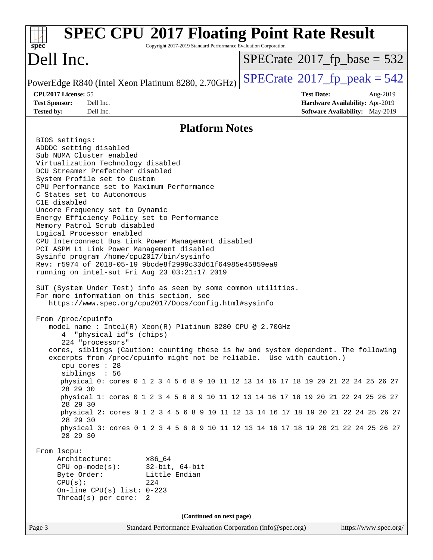| <b>SPEC CPU®2017 Floating Point Rate Result</b><br>Copyright 2017-2019 Standard Performance Evaluation Corporation<br>spec <sup>®</sup>                                                                                                                                                                                                                                                                                                                                                                                                                                                                                                                                                                                                                                                                                                                                                                                                                                                                                                                                                                                                                                                                                                                                                                                                                                                                                                                                                                                                                                                                                                                                                                                                                                                                                                                        |                                                                                                            |
|----------------------------------------------------------------------------------------------------------------------------------------------------------------------------------------------------------------------------------------------------------------------------------------------------------------------------------------------------------------------------------------------------------------------------------------------------------------------------------------------------------------------------------------------------------------------------------------------------------------------------------------------------------------------------------------------------------------------------------------------------------------------------------------------------------------------------------------------------------------------------------------------------------------------------------------------------------------------------------------------------------------------------------------------------------------------------------------------------------------------------------------------------------------------------------------------------------------------------------------------------------------------------------------------------------------------------------------------------------------------------------------------------------------------------------------------------------------------------------------------------------------------------------------------------------------------------------------------------------------------------------------------------------------------------------------------------------------------------------------------------------------------------------------------------------------------------------------------------------------|------------------------------------------------------------------------------------------------------------|
| Dell Inc.                                                                                                                                                                                                                                                                                                                                                                                                                                                                                                                                                                                                                                                                                                                                                                                                                                                                                                                                                                                                                                                                                                                                                                                                                                                                                                                                                                                                                                                                                                                                                                                                                                                                                                                                                                                                                                                      | $SPECTate@2017_fp\_base = 532$                                                                             |
| PowerEdge R840 (Intel Xeon Platinum 8280, 2.70GHz)                                                                                                                                                                                                                                                                                                                                                                                                                                                                                                                                                                                                                                                                                                                                                                                                                                                                                                                                                                                                                                                                                                                                                                                                                                                                                                                                                                                                                                                                                                                                                                                                                                                                                                                                                                                                             | $SPECTate^{\circ}2017$ _fp_peak = 542                                                                      |
| CPU2017 License: 55<br><b>Test Sponsor:</b><br>Dell Inc.<br>Dell Inc.<br><b>Tested by:</b>                                                                                                                                                                                                                                                                                                                                                                                                                                                                                                                                                                                                                                                                                                                                                                                                                                                                                                                                                                                                                                                                                                                                                                                                                                                                                                                                                                                                                                                                                                                                                                                                                                                                                                                                                                     | <b>Test Date:</b><br>Aug-2019<br>Hardware Availability: Apr-2019<br><b>Software Availability:</b> May-2019 |
| <b>Platform Notes</b>                                                                                                                                                                                                                                                                                                                                                                                                                                                                                                                                                                                                                                                                                                                                                                                                                                                                                                                                                                                                                                                                                                                                                                                                                                                                                                                                                                                                                                                                                                                                                                                                                                                                                                                                                                                                                                          |                                                                                                            |
| BIOS settings:<br>ADDDC setting disabled<br>Sub NUMA Cluster enabled<br>Virtualization Technology disabled<br>DCU Streamer Prefetcher disabled<br>System Profile set to Custom<br>CPU Performance set to Maximum Performance<br>C States set to Autonomous<br>C1E disabled<br>Uncore Frequency set to Dynamic<br>Energy Efficiency Policy set to Performance<br>Memory Patrol Scrub disabled<br>Logical Processor enabled<br>CPU Interconnect Bus Link Power Management disabled<br>PCI ASPM L1 Link Power Management disabled<br>Sysinfo program /home/cpu2017/bin/sysinfo<br>Rev: r5974 of 2018-05-19 9bcde8f2999c33d61f64985e45859ea9<br>running on intel-sut Fri Aug 23 03:21:17 2019<br>SUT (System Under Test) info as seen by some common utilities.<br>For more information on this section, see<br>https://www.spec.org/cpu2017/Docs/config.html#sysinfo<br>From /proc/cpuinfo<br>model name: $Intel(R)$ Xeon $(R)$ Platinum 8280 CPU @ 2.70GHz<br>"physical id"s (chips)<br>4<br>224 "processors"<br>cores, siblings (Caution: counting these is hw and system dependent. The following<br>excerpts from /proc/cpuinfo might not be reliable. Use with caution.)<br>cpu cores : 28<br>siblings : 56<br>physical 0: cores 0 1 2 3 4 5 6 8 9 10 11 12 13 14 16 17 18 19 20 21 22 24 25 26 27<br>28 29 30<br>physical 1: cores 0 1 2 3 4 5 6 8 9 10 11 12 13 14 16 17 18 19 20 21 22 24 25 26 27<br>28 29 30<br>physical 2: cores 0 1 2 3 4 5 6 8 9 10 11 12 13 14 16 17 18 19 20 21 22 24 25 26 27<br>28 29 30<br>physical 3: cores 0 1 2 3 4 5 6 8 9 10 11 12 13 14 16 17 18 19 20 21 22 24 25 26 27<br>28 29 30<br>From 1scpu:<br>Architecture:<br>x86 64<br>$CPU$ op-mode( $s$ ):<br>$32$ -bit, $64$ -bit<br>Byte Order:<br>Little Endian<br>CPU(s):<br>224<br>On-line CPU(s) list: $0-223$<br>Thread(s) per core:<br>2<br>(Continued on next page) |                                                                                                            |
| Standard Performance Evaluation Corporation (info@spec.org)<br>Page 3                                                                                                                                                                                                                                                                                                                                                                                                                                                                                                                                                                                                                                                                                                                                                                                                                                                                                                                                                                                                                                                                                                                                                                                                                                                                                                                                                                                                                                                                                                                                                                                                                                                                                                                                                                                          | https://www.spec.org/                                                                                      |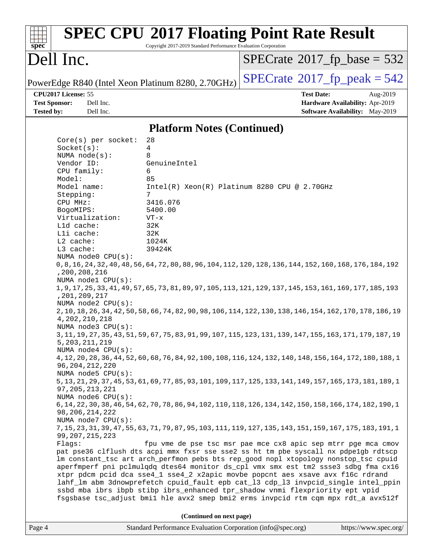| spec                                                                                                                                                                                                                                                                                                                                                                                                                                                                                                                                                                                            | Copyright 2017-2019 Standard Performance Evaluation Corporation                                                                | <b>SPEC CPU®2017 Floating Point Rate Result</b>                                                                                                                                                                                                                                                                                                                                                                                                                                                                                                                                                                                                                                                                                                                                                                                                                                                                                                                                                                                                                                                                                                                                                                                                                                                                                                                                                                                                                                                                                                                                                                                                                 |                                                                                |
|-------------------------------------------------------------------------------------------------------------------------------------------------------------------------------------------------------------------------------------------------------------------------------------------------------------------------------------------------------------------------------------------------------------------------------------------------------------------------------------------------------------------------------------------------------------------------------------------------|--------------------------------------------------------------------------------------------------------------------------------|-----------------------------------------------------------------------------------------------------------------------------------------------------------------------------------------------------------------------------------------------------------------------------------------------------------------------------------------------------------------------------------------------------------------------------------------------------------------------------------------------------------------------------------------------------------------------------------------------------------------------------------------------------------------------------------------------------------------------------------------------------------------------------------------------------------------------------------------------------------------------------------------------------------------------------------------------------------------------------------------------------------------------------------------------------------------------------------------------------------------------------------------------------------------------------------------------------------------------------------------------------------------------------------------------------------------------------------------------------------------------------------------------------------------------------------------------------------------------------------------------------------------------------------------------------------------------------------------------------------------------------------------------------------------|--------------------------------------------------------------------------------|
| Dell Inc.                                                                                                                                                                                                                                                                                                                                                                                                                                                                                                                                                                                       |                                                                                                                                | $SPECrate^{\circ}2017$ fp base = 532                                                                                                                                                                                                                                                                                                                                                                                                                                                                                                                                                                                                                                                                                                                                                                                                                                                                                                                                                                                                                                                                                                                                                                                                                                                                                                                                                                                                                                                                                                                                                                                                                            |                                                                                |
| PowerEdge R840 (Intel Xeon Platinum 8280, 2.70GHz)                                                                                                                                                                                                                                                                                                                                                                                                                                                                                                                                              |                                                                                                                                | $SPECTate@2017_fp\_peak = 542$                                                                                                                                                                                                                                                                                                                                                                                                                                                                                                                                                                                                                                                                                                                                                                                                                                                                                                                                                                                                                                                                                                                                                                                                                                                                                                                                                                                                                                                                                                                                                                                                                                  |                                                                                |
| CPU2017 License: 55<br><b>Test Sponsor:</b><br>Dell Inc.<br><b>Tested by:</b><br>Dell Inc.                                                                                                                                                                                                                                                                                                                                                                                                                                                                                                      |                                                                                                                                | <b>Test Date:</b>                                                                                                                                                                                                                                                                                                                                                                                                                                                                                                                                                                                                                                                                                                                                                                                                                                                                                                                                                                                                                                                                                                                                                                                                                                                                                                                                                                                                                                                                                                                                                                                                                                               | Aug-2019<br>Hardware Availability: Apr-2019<br>Software Availability: May-2019 |
|                                                                                                                                                                                                                                                                                                                                                                                                                                                                                                                                                                                                 | <b>Platform Notes (Continued)</b>                                                                                              |                                                                                                                                                                                                                                                                                                                                                                                                                                                                                                                                                                                                                                                                                                                                                                                                                                                                                                                                                                                                                                                                                                                                                                                                                                                                                                                                                                                                                                                                                                                                                                                                                                                                 |                                                                                |
| Core(s) per socket:<br>Socket(s):<br>NUMA $node(s)$ :<br>Vendor ID:<br>CPU family:<br>Model:<br>Model name:<br>Stepping:<br>CPU MHz:<br>BogoMIPS:<br>Virtualization:<br>Lld cache:<br>Lli cache:<br>L2 cache:<br>L3 cache:<br>NUMA node0 CPU(s):<br>, 200, 208, 216<br>NUMA nodel CPU(s):<br>, 201, 209, 217<br>NUMA $node2$ $CPU(s)$ :<br>4, 202, 210, 218<br>NUMA $node3$ $CPU(s):$<br>5, 203, 211, 219<br>NUMA node4 CPU(s):<br>96, 204, 212, 220<br>NUMA node5 CPU(s):<br>97, 205, 213, 221<br>NUMA node6 CPU(s):<br>98, 206, 214, 222<br>NUMA node7 CPU(s):<br>99, 207, 215, 223<br>Flags: | 28<br>4<br>8<br>GenuineIntel<br>6<br>85<br>$7\phantom{.0}$<br>3416.076<br>5400.00<br>$VT - x$<br>32K<br>32K<br>1024K<br>39424K | Intel(R) Xeon(R) Platinum 8280 CPU @ 2.70GHz<br>0,8,16, 176, 176, 184, 192, 184, 184, 184, 184, 184, 184, 196, 188, 180, 180, 180, 160, 160, 184, 196, 184, 0<br>1, 9, 17, 25, 33, 41, 49, 57, 65, 73, 81, 89, 97, 105, 113, 121, 129, 137, 145, 153, 161, 169, 177, 185, 193<br>2, 10, 18, 26, 34, 42, 50, 58, 66, 74, 82, 90, 98, 106, 114, 122, 130, 138, 146, 154, 162, 170, 178, 186, 19<br>3, 11, 19, 27, 35, 43, 51, 59, 67, 75, 83, 91, 99, 107, 115, 123, 131, 139, 147, 155, 163, 171, 179, 187, 19<br>4, 12, 20, 28, 36, 44, 52, 60, 68, 76, 84, 92, 100, 108, 116, 124, 132, 140, 148, 156, 164, 172, 180, 188, 1<br>5, 13, 21, 29, 37, 45, 53, 61, 69, 77, 85, 93, 101, 109, 117, 125, 133, 141, 149, 157, 165, 173, 181, 189, 1<br>6, 14, 22, 30, 38, 46, 54, 62, 70, 78, 86, 94, 102, 110, 118, 126, 134, 142, 150, 158, 166, 174, 182, 190, 1<br>7, 15, 23, 31, 39, 47, 55, 63, 71, 79, 87, 95, 103, 111, 119, 127, 135, 143, 151, 159, 167, 175, 183, 191, 1<br>fpu vme de pse tsc msr pae mce cx8 apic sep mtrr pge mca cmov<br>pat pse36 clflush dts acpi mmx fxsr sse sse2 ss ht tm pbe syscall nx pdpelgb rdtscp<br>lm constant_tsc art arch_perfmon pebs bts rep_good nopl xtopology nonstop_tsc cpuid<br>aperfmperf pni pclmulqdq dtes64 monitor ds_cpl vmx smx est tm2 ssse3 sdbg fma cx16<br>xtpr pdcm pcid dca sse4_1 sse4_2 x2apic movbe popcnt aes xsave avx f16c rdrand<br>lahf_lm abm 3dnowprefetch cpuid_fault epb cat_13 cdp_13 invpcid_single intel_ppin<br>ssbd mba ibrs ibpb stibp ibrs_enhanced tpr_shadow vnmi flexpriority ept vpid<br>fsgsbase tsc_adjust bmil hle avx2 smep bmi2 erms invpcid rtm cqm mpx rdt_a avx512f |                                                                                |
|                                                                                                                                                                                                                                                                                                                                                                                                                                                                                                                                                                                                 | (Continued on next page)                                                                                                       |                                                                                                                                                                                                                                                                                                                                                                                                                                                                                                                                                                                                                                                                                                                                                                                                                                                                                                                                                                                                                                                                                                                                                                                                                                                                                                                                                                                                                                                                                                                                                                                                                                                                 |                                                                                |
| Page 4                                                                                                                                                                                                                                                                                                                                                                                                                                                                                                                                                                                          | Standard Performance Evaluation Corporation (info@spec.org)                                                                    |                                                                                                                                                                                                                                                                                                                                                                                                                                                                                                                                                                                                                                                                                                                                                                                                                                                                                                                                                                                                                                                                                                                                                                                                                                                                                                                                                                                                                                                                                                                                                                                                                                                                 | https://www.spec.org/                                                          |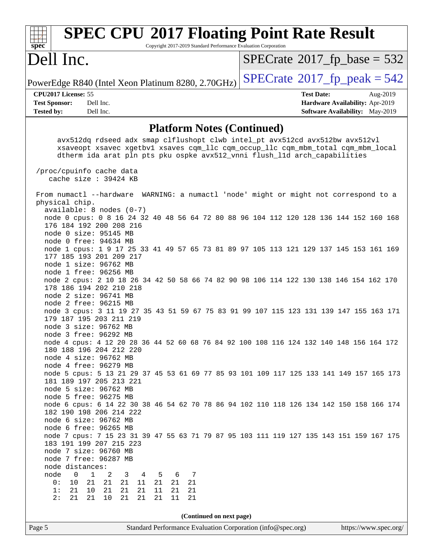| <b>SPEC CPU®2017 Floating Point Rate Result</b><br>Copyright 2017-2019 Standard Performance Evaluation Corporation<br>$\mathbf{Spec}^*$                       |                                              |
|---------------------------------------------------------------------------------------------------------------------------------------------------------------|----------------------------------------------|
| Dell Inc.                                                                                                                                                     | $SPECrate^{\circ}2017$ fp base = 532         |
| PowerEdge R840 (Intel Xeon Platinum 8280, 2.70GHz)                                                                                                            | $SPECrate^{\circledcirc}2017$ _fp_peak = 542 |
| CPU2017 License: 55                                                                                                                                           | <b>Test Date:</b><br>Aug-2019                |
| <b>Test Sponsor:</b><br>Dell Inc.                                                                                                                             | Hardware Availability: Apr-2019              |
| Dell Inc.<br><b>Tested by:</b>                                                                                                                                | <b>Software Availability:</b> May-2019       |
| <b>Platform Notes (Continued)</b>                                                                                                                             |                                              |
| avx512dq rdseed adx smap clflushopt clwb intel_pt avx512cd avx512bw avx512vl                                                                                  |                                              |
| xsaveopt xsavec xgetbvl xsaves cqm_llc cqm_occup_llc cqm_mbm_total cqm_mbm_local<br>dtherm ida arat pln pts pku ospke avx512_vnni flush_lld arch_capabilities |                                              |
|                                                                                                                                                               |                                              |
| /proc/cpuinfo cache data                                                                                                                                      |                                              |
| cache size: 39424 KB                                                                                                                                          |                                              |
| From numactl --hardware WARNING: a numactl 'node' might or might not correspond to a                                                                          |                                              |
| physical chip.                                                                                                                                                |                                              |
| $available: 8 nodes (0-7)$                                                                                                                                    |                                              |
| node 0 cpus: 0 8 16 24 32 40 48 56 64 72 80 88 96 104 112 120 128 136 144 152 160 168                                                                         |                                              |
| 176 184 192 200 208 216<br>node 0 size: 95145 MB                                                                                                              |                                              |
| node 0 free: 94634 MB                                                                                                                                         |                                              |
| node 1 cpus: 1 9 17 25 33 41 49 57 65 73 81 89 97 105 113 121 129 137 145 153 161 169                                                                         |                                              |
| 177 185 193 201 209 217                                                                                                                                       |                                              |
| node 1 size: 96762 MB                                                                                                                                         |                                              |
| node 1 free: 96256 MB<br>node 2 cpus: 2 10 18 26 34 42 50 58 66 74 82 90 98 106 114 122 130 138 146 154 162 170                                               |                                              |
| 178 186 194 202 210 218                                                                                                                                       |                                              |
| node 2 size: 96741 MB                                                                                                                                         |                                              |
| node 2 free: 96215 MB                                                                                                                                         |                                              |
| node 3 cpus: 3 11 19 27 35 43 51 59 67 75 83 91 99 107 115 123 131 139 147 155 163 171                                                                        |                                              |
| 179 187 195 203 211 219                                                                                                                                       |                                              |
| node 3 size: 96762 MB<br>node 3 free: 96292 MB                                                                                                                |                                              |
| node 4 cpus: 4 12 20 28 36 44 52 60 68 76 84 92 100 108 116 124 132 140 148 156 164 172                                                                       |                                              |
| 180 188 196 204 212 220                                                                                                                                       |                                              |
| node 4 size: 96762 MB                                                                                                                                         |                                              |
| node 4 free: 96279 MB                                                                                                                                         |                                              |
| node 5 cpus: 5 13 21 29 37 45 53 61 69 77 85 93 101 109 117 125 133 141 149 157 165 173<br>181 189 197 205 213 221                                            |                                              |
| node 5 size: 96762 MB                                                                                                                                         |                                              |
| node 5 free: 96275 MB                                                                                                                                         |                                              |
| node 6 cpus: 6 14 22 30 38 46 54 62 70 78 86 94 102 110 118 126 134 142 150 158 166 174                                                                       |                                              |
| 182 190 198 206 214 222                                                                                                                                       |                                              |
| node 6 size: 96762 MB                                                                                                                                         |                                              |
| node 6 free: 96265 MB<br>node 7 cpus: 7 15 23 31 39 47 55 63 71 79 87 95 103 111 119 127 135 143 151 159 167 175                                              |                                              |
| 183 191 199 207 215 223                                                                                                                                       |                                              |
| node 7 size: 96760 MB                                                                                                                                         |                                              |
| node 7 free: 96287 MB                                                                                                                                         |                                              |
| node distances:                                                                                                                                               |                                              |
| node<br>$\mathbf 0$<br>$\mathbf{1}$<br>2<br>3<br>4<br>5<br>6<br>7                                                                                             |                                              |
| 21<br>21<br>21<br>21<br>21<br>0 :<br>10<br>11<br>21<br>21<br>21<br>10<br>21<br>21<br>21<br>1:<br>11<br>21                                                     |                                              |
| 21<br>21<br>21<br>2:<br>10<br>21<br>21<br>11<br>21                                                                                                            |                                              |
|                                                                                                                                                               |                                              |
| (Continued on next page)                                                                                                                                      |                                              |
| Page 5<br>Standard Performance Evaluation Corporation (info@spec.org)                                                                                         | https://www.spec.org/                        |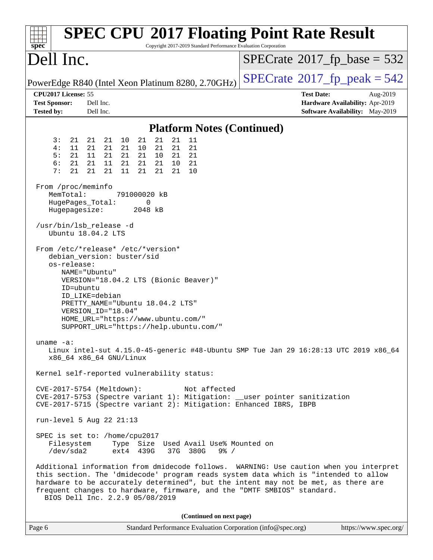| <b>SPEC CPU®2017 Floating Point Rate Result</b><br>Copyright 2017-2019 Standard Performance Evaluation Corporation<br>$spec^*$                                                                                                                                                                                                                                                    |                                                                                                     |
|-----------------------------------------------------------------------------------------------------------------------------------------------------------------------------------------------------------------------------------------------------------------------------------------------------------------------------------------------------------------------------------|-----------------------------------------------------------------------------------------------------|
| Dell Inc.                                                                                                                                                                                                                                                                                                                                                                         | $SPECTate@2017_fp\_base = 532$                                                                      |
| PowerEdge R840 (Intel Xeon Platinum 8280, 2.70GHz)                                                                                                                                                                                                                                                                                                                                | $SPECTate@2017_fp\_peak = 542$                                                                      |
| CPU2017 License: 55<br><b>Test Sponsor:</b><br>Dell Inc.<br><b>Tested by:</b><br>Dell Inc.                                                                                                                                                                                                                                                                                        | <b>Test Date:</b><br>Aug-2019<br>Hardware Availability: Apr-2019<br>Software Availability: May-2019 |
| <b>Platform Notes (Continued)</b>                                                                                                                                                                                                                                                                                                                                                 |                                                                                                     |
| 21<br>21<br>3:<br>21<br>10<br>21<br>11<br>21<br>21<br>4:<br>21<br>21<br>21<br>21<br>21<br>21<br>11<br>10<br>21<br>5:<br>21<br>11<br>21<br>21<br>10<br>21<br>21<br>6:<br>21<br>21<br>21<br>21<br>21<br>21<br>11<br>10<br>7:<br>21<br>21<br>21<br>21<br>11<br>21<br>21<br>10<br>From /proc/meminfo                                                                                  |                                                                                                     |
| MemTotal:<br>791000020 kB<br>HugePages_Total:<br>0<br>Hugepagesize:<br>2048 kB                                                                                                                                                                                                                                                                                                    |                                                                                                     |
| /usr/bin/lsb_release -d<br>Ubuntu 18.04.2 LTS                                                                                                                                                                                                                                                                                                                                     |                                                                                                     |
| From /etc/*release* /etc/*version*<br>debian_version: buster/sid<br>os-release:<br>NAME="Ubuntu"<br>VERSION="18.04.2 LTS (Bionic Beaver)"<br>ID=ubuntu<br>ID_LIKE=debian<br>PRETTY_NAME="Ubuntu 18.04.2 LTS"<br>VERSION_ID="18.04"<br>HOME_URL="https://www.ubuntu.com/"<br>SUPPORT_URL="https://help.ubuntu.com/"                                                                |                                                                                                     |
| uname $-a$ :<br>Linux intel-sut 4.15.0-45-generic #48-Ubuntu SMP Tue Jan 29 16:28:13 UTC 2019 x86_64<br>x86 64 x86 64 GNU/Linux                                                                                                                                                                                                                                                   |                                                                                                     |
| Kernel self-reported vulnerability status:                                                                                                                                                                                                                                                                                                                                        |                                                                                                     |
| CVE-2017-5754 (Meltdown):<br>Not affected<br>CVE-2017-5753 (Spectre variant 1): Mitigation: __user pointer sanitization<br>CVE-2017-5715 (Spectre variant 2): Mitigation: Enhanced IBRS, IBPB                                                                                                                                                                                     |                                                                                                     |
| run-level 5 Aug 22 21:13                                                                                                                                                                                                                                                                                                                                                          |                                                                                                     |
| SPEC is set to: /home/cpu2017<br>Filesystem<br>Type Size Used Avail Use% Mounted on<br>/dev/sda2<br>ext4 439G<br>37G 380G<br>$9\frac{8}{10}$ /                                                                                                                                                                                                                                    |                                                                                                     |
| Additional information from dmidecode follows. WARNING: Use caution when you interpret<br>this section. The 'dmidecode' program reads system data which is "intended to allow<br>hardware to be accurately determined", but the intent may not be met, as there are<br>frequent changes to hardware, firmware, and the "DMTF SMBIOS" standard.<br>BIOS Dell Inc. 2.2.9 05/08/2019 |                                                                                                     |
| (Continued on next page)                                                                                                                                                                                                                                                                                                                                                          |                                                                                                     |
| Standard Performance Evaluation Corporation (info@spec.org)<br>Page 6                                                                                                                                                                                                                                                                                                             | https://www.spec.org/                                                                               |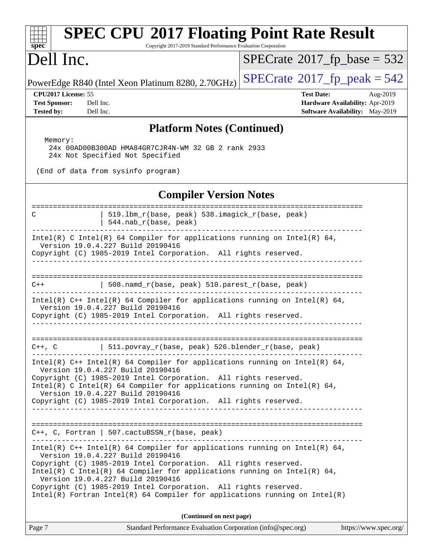| spec <sup>®</sup>                                                                                                                                                                                                                                                                                                                                                        | <b>SPEC CPU®2017 Floating Point Rate Result</b><br>Copyright 2017-2019 Standard Performance Evaluation Corporation |
|--------------------------------------------------------------------------------------------------------------------------------------------------------------------------------------------------------------------------------------------------------------------------------------------------------------------------------------------------------------------------|--------------------------------------------------------------------------------------------------------------------|
| Dell Inc.                                                                                                                                                                                                                                                                                                                                                                | $SPECrate^{\circ}2017$ fp base = 532                                                                               |
| PowerEdge R840 (Intel Xeon Platinum 8280, 2.70GHz)                                                                                                                                                                                                                                                                                                                       | $SPECTate$ <sup>®</sup> 2017_fp_peak = 542                                                                         |
| CPU2017 License: 55<br><b>Test Sponsor:</b><br>Dell Inc.<br><b>Tested by:</b><br>Dell Inc.                                                                                                                                                                                                                                                                               | <b>Test Date:</b><br>Aug-2019<br>Hardware Availability: Apr-2019<br>Software Availability: May-2019                |
|                                                                                                                                                                                                                                                                                                                                                                          | <b>Platform Notes (Continued)</b>                                                                                  |
| Memory:<br>24x 00AD00B300AD HMA84GR7CJR4N-WM 32 GB 2 rank 2933<br>24x Not Specified Not Specified<br>(End of data from sysinfo program)                                                                                                                                                                                                                                  |                                                                                                                    |
|                                                                                                                                                                                                                                                                                                                                                                          | <b>Compiler Version Notes</b>                                                                                      |
| 519.1bm_r(base, peak) 538.imagick_r(base, peak)<br>C<br>544.nab_r(base, peak)                                                                                                                                                                                                                                                                                            |                                                                                                                    |
| Intel(R) C Intel(R) 64 Compiler for applications running on Intel(R) 64,<br>Version 19.0.4.227 Build 20190416<br>Copyright (C) 1985-2019 Intel Corporation. All rights reserved.                                                                                                                                                                                         |                                                                                                                    |
| 508.namd_r(base, peak) 510.parest_r(base, peak)<br>$C++$                                                                                                                                                                                                                                                                                                                 |                                                                                                                    |
| Intel(R) $C++$ Intel(R) 64 Compiler for applications running on Intel(R) 64,<br>Version 19.0.4.227 Build 20190416<br>Copyright (C) 1985-2019 Intel Corporation. All rights reserved.                                                                                                                                                                                     |                                                                                                                    |
| C++, C $ $ 511.povray_r(base, peak) 526.blender_r(base, peak)                                                                                                                                                                                                                                                                                                            |                                                                                                                    |
| Intel(R) C++ Intel(R) 64 Compiler for applications running on Intel(R) 64,<br>Version 19.0.4.227 Build 20190416<br>Copyright (C) 1985-2019 Intel Corporation. All rights reserved.<br>Intel(R) C Intel(R) 64 Compiler for applications running on Intel(R) 64,<br>Version 19.0.4.227 Build 20190416<br>Copyright (C) 1985-2019 Intel Corporation. All rights reserved.   |                                                                                                                    |
| C++, C, Fortran   507.cactuBSSN_r(base, peak)                                                                                                                                                                                                                                                                                                                            |                                                                                                                    |
| Intel(R) $C++$ Intel(R) 64 Compiler for applications running on Intel(R) 64,<br>Version 19.0.4.227 Build 20190416<br>Copyright (C) 1985-2019 Intel Corporation. All rights reserved.<br>Intel(R) C Intel(R) 64 Compiler for applications running on Intel(R) 64,<br>Version 19.0.4.227 Build 20190416<br>Copyright (C) 1985-2019 Intel Corporation. All rights reserved. |                                                                                                                    |
| $Intel(R)$ Fortran Intel(R) 64 Compiler for applications running on Intel(R)                                                                                                                                                                                                                                                                                             |                                                                                                                    |
| Page 7                                                                                                                                                                                                                                                                                                                                                                   | (Continued on next page)<br>Standard Performance Evaluation Corporation (info@spec.org)<br>https://www.spec.org/   |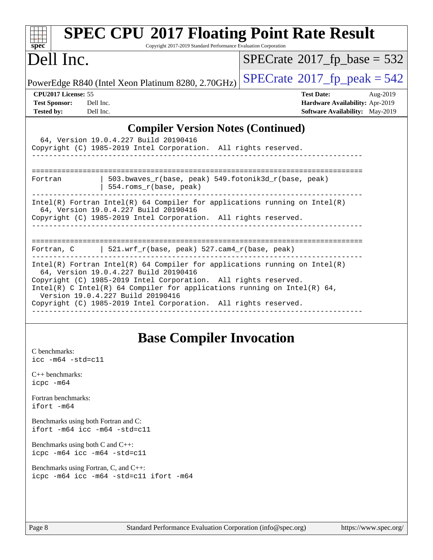| $spec*$                                                                                                                                                                                                          | <b>SPEC CPU®2017 Floating Point Rate Result</b><br>Copyright 2017-2019 Standard Performance Evaluation Corporation                                         |
|------------------------------------------------------------------------------------------------------------------------------------------------------------------------------------------------------------------|------------------------------------------------------------------------------------------------------------------------------------------------------------|
| Dell Inc.                                                                                                                                                                                                        | $SPECrate^{\circ}2017$ fp base = 532                                                                                                                       |
| PowerEdge R840 (Intel Xeon Platinum 8280, 2.70GHz)                                                                                                                                                               | $SPECTate^{\circ}2017$ _fp_peak = 542                                                                                                                      |
| CPU2017 License: 55<br><b>Test Sponsor:</b><br>Dell Inc.<br>Dell Inc.<br><b>Tested by:</b>                                                                                                                       | <b>Test Date:</b><br>Aug-2019<br>Hardware Availability: Apr-2019<br><b>Software Availability:</b> May-2019                                                 |
|                                                                                                                                                                                                                  | <b>Compiler Version Notes (Continued)</b>                                                                                                                  |
| 64, Version 19.0.4.227 Build 20190416<br>Copyright (C) 1985-2019 Intel Corporation. All rights reserved.                                                                                                         |                                                                                                                                                            |
| Fortran<br>554.roms_r(base, peak)                                                                                                                                                                                | $503.bwaves_r(base, peak)$ 549.fotonik3d_r(base, peak)                                                                                                     |
| 64, Version 19.0.4.227 Build 20190416<br>Copyright (C) 1985-2019 Intel Corporation. All rights reserved.                                                                                                         | Intel(R) Fortran Intel(R) 64 Compiler for applications running on Intel(R)                                                                                 |
| Fortran, C   521.wrf_r(base, peak) $527.cam4_r(base, peak)$                                                                                                                                                      |                                                                                                                                                            |
| 64, Version 19.0.4.227 Build 20190416<br>Copyright (C) 1985-2019 Intel Corporation. All rights reserved.<br>Version 19.0.4.227 Build 20190416<br>Copyright (C) 1985-2019 Intel Corporation. All rights reserved. | $Intel(R)$ Fortran Intel(R) 64 Compiler for applications running on Intel(R)<br>$Intel(R)$ C Intel(R) 64 Compiler for applications running on Intel(R) 64, |

## **[Base Compiler Invocation](http://www.spec.org/auto/cpu2017/Docs/result-fields.html#BaseCompilerInvocation)**

[C benchmarks](http://www.spec.org/auto/cpu2017/Docs/result-fields.html#Cbenchmarks): [icc -m64 -std=c11](http://www.spec.org/cpu2017/results/res2019q3/cpu2017-20190831-17307.flags.html#user_CCbase_intel_icc_64bit_c11_33ee0cdaae7deeeab2a9725423ba97205ce30f63b9926c2519791662299b76a0318f32ddfffdc46587804de3178b4f9328c46fa7c2b0cd779d7a61945c91cd35)

[C++ benchmarks:](http://www.spec.org/auto/cpu2017/Docs/result-fields.html#CXXbenchmarks) [icpc -m64](http://www.spec.org/cpu2017/results/res2019q3/cpu2017-20190831-17307.flags.html#user_CXXbase_intel_icpc_64bit_4ecb2543ae3f1412ef961e0650ca070fec7b7afdcd6ed48761b84423119d1bf6bdf5cad15b44d48e7256388bc77273b966e5eb805aefd121eb22e9299b2ec9d9)

[Fortran benchmarks](http://www.spec.org/auto/cpu2017/Docs/result-fields.html#Fortranbenchmarks): [ifort -m64](http://www.spec.org/cpu2017/results/res2019q3/cpu2017-20190831-17307.flags.html#user_FCbase_intel_ifort_64bit_24f2bb282fbaeffd6157abe4f878425411749daecae9a33200eee2bee2fe76f3b89351d69a8130dd5949958ce389cf37ff59a95e7a40d588e8d3a57e0c3fd751)

[Benchmarks using both Fortran and C](http://www.spec.org/auto/cpu2017/Docs/result-fields.html#BenchmarksusingbothFortranandC): [ifort -m64](http://www.spec.org/cpu2017/results/res2019q3/cpu2017-20190831-17307.flags.html#user_CC_FCbase_intel_ifort_64bit_24f2bb282fbaeffd6157abe4f878425411749daecae9a33200eee2bee2fe76f3b89351d69a8130dd5949958ce389cf37ff59a95e7a40d588e8d3a57e0c3fd751) [icc -m64 -std=c11](http://www.spec.org/cpu2017/results/res2019q3/cpu2017-20190831-17307.flags.html#user_CC_FCbase_intel_icc_64bit_c11_33ee0cdaae7deeeab2a9725423ba97205ce30f63b9926c2519791662299b76a0318f32ddfffdc46587804de3178b4f9328c46fa7c2b0cd779d7a61945c91cd35)

[Benchmarks using both C and C++](http://www.spec.org/auto/cpu2017/Docs/result-fields.html#BenchmarksusingbothCandCXX): [icpc -m64](http://www.spec.org/cpu2017/results/res2019q3/cpu2017-20190831-17307.flags.html#user_CC_CXXbase_intel_icpc_64bit_4ecb2543ae3f1412ef961e0650ca070fec7b7afdcd6ed48761b84423119d1bf6bdf5cad15b44d48e7256388bc77273b966e5eb805aefd121eb22e9299b2ec9d9) [icc -m64 -std=c11](http://www.spec.org/cpu2017/results/res2019q3/cpu2017-20190831-17307.flags.html#user_CC_CXXbase_intel_icc_64bit_c11_33ee0cdaae7deeeab2a9725423ba97205ce30f63b9926c2519791662299b76a0318f32ddfffdc46587804de3178b4f9328c46fa7c2b0cd779d7a61945c91cd35)

[Benchmarks using Fortran, C, and C++:](http://www.spec.org/auto/cpu2017/Docs/result-fields.html#BenchmarksusingFortranCandCXX) [icpc -m64](http://www.spec.org/cpu2017/results/res2019q3/cpu2017-20190831-17307.flags.html#user_CC_CXX_FCbase_intel_icpc_64bit_4ecb2543ae3f1412ef961e0650ca070fec7b7afdcd6ed48761b84423119d1bf6bdf5cad15b44d48e7256388bc77273b966e5eb805aefd121eb22e9299b2ec9d9) [icc -m64 -std=c11](http://www.spec.org/cpu2017/results/res2019q3/cpu2017-20190831-17307.flags.html#user_CC_CXX_FCbase_intel_icc_64bit_c11_33ee0cdaae7deeeab2a9725423ba97205ce30f63b9926c2519791662299b76a0318f32ddfffdc46587804de3178b4f9328c46fa7c2b0cd779d7a61945c91cd35) [ifort -m64](http://www.spec.org/cpu2017/results/res2019q3/cpu2017-20190831-17307.flags.html#user_CC_CXX_FCbase_intel_ifort_64bit_24f2bb282fbaeffd6157abe4f878425411749daecae9a33200eee2bee2fe76f3b89351d69a8130dd5949958ce389cf37ff59a95e7a40d588e8d3a57e0c3fd751)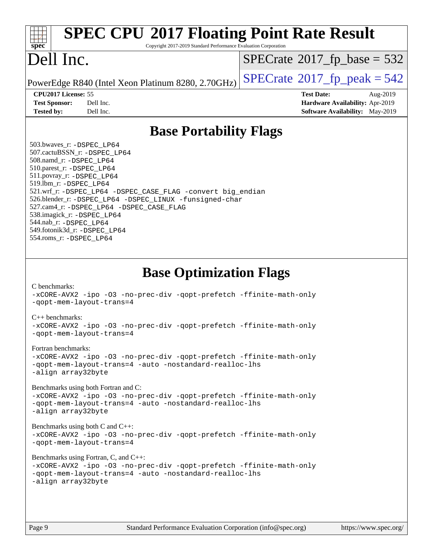| <b>SPEC CPU®2017 Floating Point Rate Result</b><br>spec<br>Copyright 2017-2019 Standard Performance Evaluation Corporation                                                                                                                                                                                                                                                                                                                                         |                                                                           |
|--------------------------------------------------------------------------------------------------------------------------------------------------------------------------------------------------------------------------------------------------------------------------------------------------------------------------------------------------------------------------------------------------------------------------------------------------------------------|---------------------------------------------------------------------------|
| Dell Inc.                                                                                                                                                                                                                                                                                                                                                                                                                                                          | $SPECTate$ <sup>®</sup> 2017_fp_base = 532                                |
| PowerEdge R840 (Intel Xeon Platinum 8280, 2.70GHz)                                                                                                                                                                                                                                                                                                                                                                                                                 | $SPECTate@2017_fp\_peak = 542$                                            |
| CPU2017 License: 55                                                                                                                                                                                                                                                                                                                                                                                                                                                | <b>Test Date:</b><br>Aug-2019                                             |
| Dell Inc.<br><b>Test Sponsor:</b><br>Dell Inc.<br><b>Tested by:</b>                                                                                                                                                                                                                                                                                                                                                                                                | Hardware Availability: Apr-2019<br><b>Software Availability:</b> May-2019 |
| <b>Base Portability Flags</b>                                                                                                                                                                                                                                                                                                                                                                                                                                      |                                                                           |
| 503.bwaves_r: -DSPEC LP64<br>507.cactuBSSN_r: - DSPEC LP64<br>508.namd_r: -DSPEC LP64<br>510.parest_r: -DSPEC_LP64<br>511.povray_r: -DSPEC_LP64<br>519.1bm_r: -DSPEC_LP64<br>521.wrf_r: -DSPEC_LP64 -DSPEC_CASE_FLAG -convert big_endian<br>526.blender_r: -DSPEC LP64 -DSPEC LINUX -funsigned-char<br>527.cam4_r: -DSPEC_LP64 -DSPEC_CASE_FLAG<br>538.imagick_r: -DSPEC_LP64<br>544.nab_r: -DSPEC_LP64<br>549.fotonik3d_r: -DSPEC_LP64<br>554.roms_r: -DSPEC_LP64 |                                                                           |
| <b>Base Optimization Flags</b><br>C benchmarks:<br>-xCORE-AVX2 -ipo -03 -no-prec-div -qopt-prefetch -ffinite-math-only<br>-gopt-mem-layout-trans=4                                                                                                                                                                                                                                                                                                                 |                                                                           |
| $C_{++}$ benchmarks:<br>-xCORE-AVX2 -ipo -03 -no-prec-div -qopt-prefetch -ffinite-math-only<br>-gopt-mem-layout-trans=4                                                                                                                                                                                                                                                                                                                                            |                                                                           |
| Fortran benchmarks:<br>-xCORE-AVX2 -ipo -03 -no-prec-div -qopt-prefetch -ffinite-math-only<br>-qopt-mem-layout-trans=4 -auto -nostandard-realloc-lhs<br>-align array32byte                                                                                                                                                                                                                                                                                         |                                                                           |
| Benchmarks using both Fortran and C:<br>-xCORE-AVX2 -ipo -03 -no-prec-div -qopt-prefetch -ffinite-math-only<br>-qopt-mem-layout-trans=4 -auto -nostandard-realloc-lhs<br>-align array32byte                                                                                                                                                                                                                                                                        |                                                                           |
| Benchmarks using both C and C++:<br>-xCORE-AVX2 -ipo -03 -no-prec-div -qopt-prefetch -ffinite-math-only<br>-qopt-mem-layout-trans=4                                                                                                                                                                                                                                                                                                                                |                                                                           |
| Benchmarks using Fortran, C, and C++:<br>-xCORE-AVX2 -ipo -03 -no-prec-div -qopt-prefetch -ffinite-math-only<br>-gopt-mem-layout-trans=4 -auto -nostandard-realloc-lhs<br>-align array32byte                                                                                                                                                                                                                                                                       |                                                                           |
|                                                                                                                                                                                                                                                                                                                                                                                                                                                                    |                                                                           |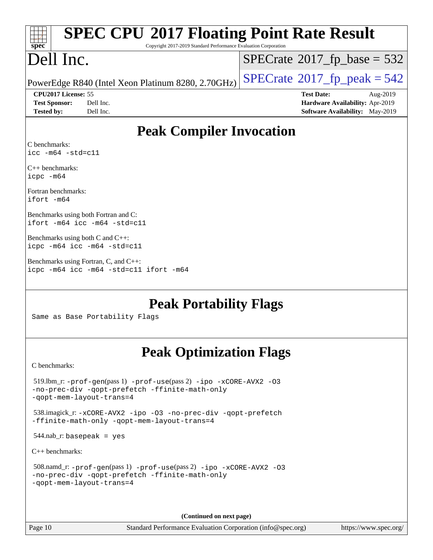| <b>SPEC CPU®2017 Floating Point Rate Result</b>                                 |                                        |
|---------------------------------------------------------------------------------|----------------------------------------|
| Copyright 2017-2019 Standard Performance Evaluation Corporation<br>$spec^*$     |                                        |
| Dell Inc.                                                                       | $SPECrate^{\circ}2017_fp\_base = 532$  |
| PowerEdge R840 (Intel Xeon Platinum 8280, 2.70GHz)                              | $SPECrate@2017_fp\_peak = 542$         |
| CPU2017 License: 55                                                             | <b>Test Date:</b><br>Aug-2019          |
| <b>Test Sponsor:</b><br>Dell Inc.                                               | Hardware Availability: Apr-2019        |
| Dell Inc.<br><b>Tested by:</b>                                                  | <b>Software Availability:</b> May-2019 |
| <b>Peak Compiler Invocation</b>                                                 |                                        |
| C benchmarks:<br>$\text{icc}$ -m64 -std=c11                                     |                                        |
| $C_{++}$ benchmarks:<br>icpc -m64                                               |                                        |
| Fortran benchmarks:<br>ifort -m64                                               |                                        |
| Benchmarks using both Fortran and C:<br>ifort -m64 icc -m64 -std=c11            |                                        |
| Benchmarks using both C and C++:<br>icpc -m64 icc -m64 -std=c11                 |                                        |
| Benchmarks using Fortran, C, and C++:<br>icpc -m64 icc -m64 -std=c11 ifort -m64 |                                        |
| <b>Peak Portability Flags</b><br>Same as Base Portability Flags                 |                                        |

# **[Peak Optimization Flags](http://www.spec.org/auto/cpu2017/Docs/result-fields.html#PeakOptimizationFlags)**

[C benchmarks](http://www.spec.org/auto/cpu2017/Docs/result-fields.html#Cbenchmarks):

**(Continued on next page)**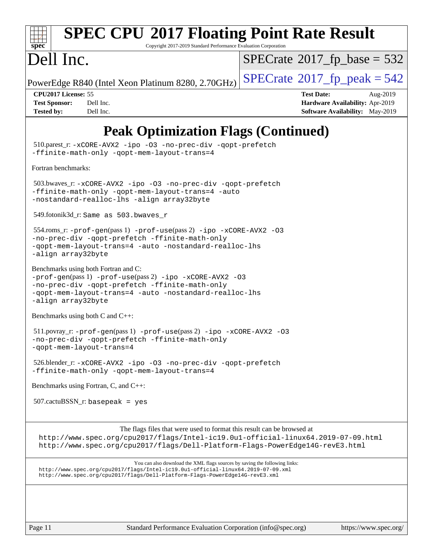

# **[SPEC CPU](http://www.spec.org/auto/cpu2017/Docs/result-fields.html#SPECCPU2017FloatingPointRateResult)[2017 Floating Point Rate Result](http://www.spec.org/auto/cpu2017/Docs/result-fields.html#SPECCPU2017FloatingPointRateResult)**

Copyright 2017-2019 Standard Performance Evaluation Corporation

# Dell Inc.

 $SPECTate$ <sup>®</sup>[2017\\_fp\\_base =](http://www.spec.org/auto/cpu2017/Docs/result-fields.html#SPECrate2017fpbase) 532

PowerEdge R840 (Intel Xeon Platinum 8280, 2.70GHz)  $\left|$  [SPECrate](http://www.spec.org/auto/cpu2017/Docs/result-fields.html#SPECrate2017fppeak)®[2017\\_fp\\_peak = 5](http://www.spec.org/auto/cpu2017/Docs/result-fields.html#SPECrate2017fppeak)42

**[CPU2017 License:](http://www.spec.org/auto/cpu2017/Docs/result-fields.html#CPU2017License)** 55 **[Test Date:](http://www.spec.org/auto/cpu2017/Docs/result-fields.html#TestDate)** Aug-2019 **[Test Sponsor:](http://www.spec.org/auto/cpu2017/Docs/result-fields.html#TestSponsor)** Dell Inc. **[Hardware Availability:](http://www.spec.org/auto/cpu2017/Docs/result-fields.html#HardwareAvailability)** Apr-2019 **[Tested by:](http://www.spec.org/auto/cpu2017/Docs/result-fields.html#Testedby)** Dell Inc. Dell Inc. **[Software Availability:](http://www.spec.org/auto/cpu2017/Docs/result-fields.html#SoftwareAvailability)** May-2019

## **[Peak Optimization Flags \(Continued\)](http://www.spec.org/auto/cpu2017/Docs/result-fields.html#PeakOptimizationFlags)**

Page 11 Standard Performance Evaluation Corporation [\(info@spec.org\)](mailto:info@spec.org) <https://www.spec.org/> 510.parest\_r: [-xCORE-AVX2](http://www.spec.org/cpu2017/results/res2019q3/cpu2017-20190831-17307.flags.html#user_peakCXXOPTIMIZE510_parest_r_f-xCORE-AVX2) [-ipo](http://www.spec.org/cpu2017/results/res2019q3/cpu2017-20190831-17307.flags.html#user_peakCXXOPTIMIZE510_parest_r_f-ipo) [-O3](http://www.spec.org/cpu2017/results/res2019q3/cpu2017-20190831-17307.flags.html#user_peakCXXOPTIMIZE510_parest_r_f-O3) [-no-prec-div](http://www.spec.org/cpu2017/results/res2019q3/cpu2017-20190831-17307.flags.html#user_peakCXXOPTIMIZE510_parest_r_f-no-prec-div) [-qopt-prefetch](http://www.spec.org/cpu2017/results/res2019q3/cpu2017-20190831-17307.flags.html#user_peakCXXOPTIMIZE510_parest_r_f-qopt-prefetch) [-ffinite-math-only](http://www.spec.org/cpu2017/results/res2019q3/cpu2017-20190831-17307.flags.html#user_peakCXXOPTIMIZE510_parest_r_f_finite_math_only_cb91587bd2077682c4b38af759c288ed7c732db004271a9512da14a4f8007909a5f1427ecbf1a0fb78ff2a814402c6114ac565ca162485bbcae155b5e4258871) [-qopt-mem-layout-trans=4](http://www.spec.org/cpu2017/results/res2019q3/cpu2017-20190831-17307.flags.html#user_peakCXXOPTIMIZE510_parest_r_f-qopt-mem-layout-trans_fa39e755916c150a61361b7846f310bcdf6f04e385ef281cadf3647acec3f0ae266d1a1d22d972a7087a248fd4e6ca390a3634700869573d231a252c784941a8) [Fortran benchmarks](http://www.spec.org/auto/cpu2017/Docs/result-fields.html#Fortranbenchmarks): 503.bwaves\_r: [-xCORE-AVX2](http://www.spec.org/cpu2017/results/res2019q3/cpu2017-20190831-17307.flags.html#user_peakFOPTIMIZE503_bwaves_r_f-xCORE-AVX2) [-ipo](http://www.spec.org/cpu2017/results/res2019q3/cpu2017-20190831-17307.flags.html#user_peakFOPTIMIZE503_bwaves_r_f-ipo) [-O3](http://www.spec.org/cpu2017/results/res2019q3/cpu2017-20190831-17307.flags.html#user_peakFOPTIMIZE503_bwaves_r_f-O3) [-no-prec-div](http://www.spec.org/cpu2017/results/res2019q3/cpu2017-20190831-17307.flags.html#user_peakFOPTIMIZE503_bwaves_r_f-no-prec-div) [-qopt-prefetch](http://www.spec.org/cpu2017/results/res2019q3/cpu2017-20190831-17307.flags.html#user_peakFOPTIMIZE503_bwaves_r_f-qopt-prefetch) [-ffinite-math-only](http://www.spec.org/cpu2017/results/res2019q3/cpu2017-20190831-17307.flags.html#user_peakFOPTIMIZE503_bwaves_r_f_finite_math_only_cb91587bd2077682c4b38af759c288ed7c732db004271a9512da14a4f8007909a5f1427ecbf1a0fb78ff2a814402c6114ac565ca162485bbcae155b5e4258871) [-qopt-mem-layout-trans=4](http://www.spec.org/cpu2017/results/res2019q3/cpu2017-20190831-17307.flags.html#user_peakFOPTIMIZE503_bwaves_r_f-qopt-mem-layout-trans_fa39e755916c150a61361b7846f310bcdf6f04e385ef281cadf3647acec3f0ae266d1a1d22d972a7087a248fd4e6ca390a3634700869573d231a252c784941a8) [-auto](http://www.spec.org/cpu2017/results/res2019q3/cpu2017-20190831-17307.flags.html#user_peakFOPTIMIZE503_bwaves_r_f-auto) [-nostandard-realloc-lhs](http://www.spec.org/cpu2017/results/res2019q3/cpu2017-20190831-17307.flags.html#user_peakEXTRA_FOPTIMIZE503_bwaves_r_f_2003_std_realloc_82b4557e90729c0f113870c07e44d33d6f5a304b4f63d4c15d2d0f1fab99f5daaed73bdb9275d9ae411527f28b936061aa8b9c8f2d63842963b95c9dd6426b8a) [-align array32byte](http://www.spec.org/cpu2017/results/res2019q3/cpu2017-20190831-17307.flags.html#user_peakEXTRA_FOPTIMIZE503_bwaves_r_align_array32byte_b982fe038af199962ba9a80c053b8342c548c85b40b8e86eb3cc33dee0d7986a4af373ac2d51c3f7cf710a18d62fdce2948f201cd044323541f22fc0fffc51b6) 549.fotonik3d\_r: Same as 503.bwaves\_r 554.roms\_r: [-prof-gen](http://www.spec.org/cpu2017/results/res2019q3/cpu2017-20190831-17307.flags.html#user_peakPASS1_FFLAGSPASS1_LDFLAGS554_roms_r_prof_gen_5aa4926d6013ddb2a31985c654b3eb18169fc0c6952a63635c234f711e6e63dd76e94ad52365559451ec499a2cdb89e4dc58ba4c67ef54ca681ffbe1461d6b36)(pass 1) [-prof-use](http://www.spec.org/cpu2017/results/res2019q3/cpu2017-20190831-17307.flags.html#user_peakPASS2_FFLAGSPASS2_LDFLAGS554_roms_r_prof_use_1a21ceae95f36a2b53c25747139a6c16ca95bd9def2a207b4f0849963b97e94f5260e30a0c64f4bb623698870e679ca08317ef8150905d41bd88c6f78df73f19)(pass 2) [-ipo](http://www.spec.org/cpu2017/results/res2019q3/cpu2017-20190831-17307.flags.html#user_peakPASS1_FOPTIMIZEPASS2_FOPTIMIZE554_roms_r_f-ipo) [-xCORE-AVX2](http://www.spec.org/cpu2017/results/res2019q3/cpu2017-20190831-17307.flags.html#user_peakPASS2_FOPTIMIZE554_roms_r_f-xCORE-AVX2) [-O3](http://www.spec.org/cpu2017/results/res2019q3/cpu2017-20190831-17307.flags.html#user_peakPASS1_FOPTIMIZEPASS2_FOPTIMIZE554_roms_r_f-O3) [-no-prec-div](http://www.spec.org/cpu2017/results/res2019q3/cpu2017-20190831-17307.flags.html#user_peakPASS1_FOPTIMIZEPASS2_FOPTIMIZE554_roms_r_f-no-prec-div) [-qopt-prefetch](http://www.spec.org/cpu2017/results/res2019q3/cpu2017-20190831-17307.flags.html#user_peakPASS1_FOPTIMIZEPASS2_FOPTIMIZE554_roms_r_f-qopt-prefetch) [-ffinite-math-only](http://www.spec.org/cpu2017/results/res2019q3/cpu2017-20190831-17307.flags.html#user_peakPASS1_FOPTIMIZEPASS2_FOPTIMIZE554_roms_r_f_finite_math_only_cb91587bd2077682c4b38af759c288ed7c732db004271a9512da14a4f8007909a5f1427ecbf1a0fb78ff2a814402c6114ac565ca162485bbcae155b5e4258871) [-qopt-mem-layout-trans=4](http://www.spec.org/cpu2017/results/res2019q3/cpu2017-20190831-17307.flags.html#user_peakPASS1_FOPTIMIZEPASS2_FOPTIMIZE554_roms_r_f-qopt-mem-layout-trans_fa39e755916c150a61361b7846f310bcdf6f04e385ef281cadf3647acec3f0ae266d1a1d22d972a7087a248fd4e6ca390a3634700869573d231a252c784941a8) [-auto](http://www.spec.org/cpu2017/results/res2019q3/cpu2017-20190831-17307.flags.html#user_peakPASS2_FOPTIMIZE554_roms_r_f-auto) [-nostandard-realloc-lhs](http://www.spec.org/cpu2017/results/res2019q3/cpu2017-20190831-17307.flags.html#user_peakEXTRA_FOPTIMIZE554_roms_r_f_2003_std_realloc_82b4557e90729c0f113870c07e44d33d6f5a304b4f63d4c15d2d0f1fab99f5daaed73bdb9275d9ae411527f28b936061aa8b9c8f2d63842963b95c9dd6426b8a) [-align array32byte](http://www.spec.org/cpu2017/results/res2019q3/cpu2017-20190831-17307.flags.html#user_peakEXTRA_FOPTIMIZE554_roms_r_align_array32byte_b982fe038af199962ba9a80c053b8342c548c85b40b8e86eb3cc33dee0d7986a4af373ac2d51c3f7cf710a18d62fdce2948f201cd044323541f22fc0fffc51b6) [Benchmarks using both Fortran and C](http://www.spec.org/auto/cpu2017/Docs/result-fields.html#BenchmarksusingbothFortranandC): [-prof-gen](http://www.spec.org/cpu2017/results/res2019q3/cpu2017-20190831-17307.flags.html#user_CC_FCpeak_prof_gen_5aa4926d6013ddb2a31985c654b3eb18169fc0c6952a63635c234f711e6e63dd76e94ad52365559451ec499a2cdb89e4dc58ba4c67ef54ca681ffbe1461d6b36)(pass 1) [-prof-use](http://www.spec.org/cpu2017/results/res2019q3/cpu2017-20190831-17307.flags.html#user_CC_FCpeak_prof_use_1a21ceae95f36a2b53c25747139a6c16ca95bd9def2a207b4f0849963b97e94f5260e30a0c64f4bb623698870e679ca08317ef8150905d41bd88c6f78df73f19)(pass 2) [-ipo](http://www.spec.org/cpu2017/results/res2019q3/cpu2017-20190831-17307.flags.html#user_CC_FCpeak_f-ipo) [-xCORE-AVX2](http://www.spec.org/cpu2017/results/res2019q3/cpu2017-20190831-17307.flags.html#user_CC_FCpeak_f-xCORE-AVX2) [-O3](http://www.spec.org/cpu2017/results/res2019q3/cpu2017-20190831-17307.flags.html#user_CC_FCpeak_f-O3) [-no-prec-div](http://www.spec.org/cpu2017/results/res2019q3/cpu2017-20190831-17307.flags.html#user_CC_FCpeak_f-no-prec-div) [-qopt-prefetch](http://www.spec.org/cpu2017/results/res2019q3/cpu2017-20190831-17307.flags.html#user_CC_FCpeak_f-qopt-prefetch) [-ffinite-math-only](http://www.spec.org/cpu2017/results/res2019q3/cpu2017-20190831-17307.flags.html#user_CC_FCpeak_f_finite_math_only_cb91587bd2077682c4b38af759c288ed7c732db004271a9512da14a4f8007909a5f1427ecbf1a0fb78ff2a814402c6114ac565ca162485bbcae155b5e4258871) [-qopt-mem-layout-trans=4](http://www.spec.org/cpu2017/results/res2019q3/cpu2017-20190831-17307.flags.html#user_CC_FCpeak_f-qopt-mem-layout-trans_fa39e755916c150a61361b7846f310bcdf6f04e385ef281cadf3647acec3f0ae266d1a1d22d972a7087a248fd4e6ca390a3634700869573d231a252c784941a8) [-auto](http://www.spec.org/cpu2017/results/res2019q3/cpu2017-20190831-17307.flags.html#user_CC_FCpeak_f-auto) [-nostandard-realloc-lhs](http://www.spec.org/cpu2017/results/res2019q3/cpu2017-20190831-17307.flags.html#user_CC_FCpeak_f_2003_std_realloc_82b4557e90729c0f113870c07e44d33d6f5a304b4f63d4c15d2d0f1fab99f5daaed73bdb9275d9ae411527f28b936061aa8b9c8f2d63842963b95c9dd6426b8a) [-align array32byte](http://www.spec.org/cpu2017/results/res2019q3/cpu2017-20190831-17307.flags.html#user_CC_FCpeak_align_array32byte_b982fe038af199962ba9a80c053b8342c548c85b40b8e86eb3cc33dee0d7986a4af373ac2d51c3f7cf710a18d62fdce2948f201cd044323541f22fc0fffc51b6) [Benchmarks using both C and C++](http://www.spec.org/auto/cpu2017/Docs/result-fields.html#BenchmarksusingbothCandCXX): 511.povray\_r: [-prof-gen](http://www.spec.org/cpu2017/results/res2019q3/cpu2017-20190831-17307.flags.html#user_peakPASS1_CFLAGSPASS1_CXXFLAGSPASS1_LDFLAGS511_povray_r_prof_gen_5aa4926d6013ddb2a31985c654b3eb18169fc0c6952a63635c234f711e6e63dd76e94ad52365559451ec499a2cdb89e4dc58ba4c67ef54ca681ffbe1461d6b36)(pass 1) [-prof-use](http://www.spec.org/cpu2017/results/res2019q3/cpu2017-20190831-17307.flags.html#user_peakPASS2_CFLAGSPASS2_CXXFLAGSPASS2_LDFLAGS511_povray_r_prof_use_1a21ceae95f36a2b53c25747139a6c16ca95bd9def2a207b4f0849963b97e94f5260e30a0c64f4bb623698870e679ca08317ef8150905d41bd88c6f78df73f19)(pass 2) [-ipo](http://www.spec.org/cpu2017/results/res2019q3/cpu2017-20190831-17307.flags.html#user_peakPASS1_COPTIMIZEPASS1_CXXOPTIMIZEPASS2_COPTIMIZEPASS2_CXXOPTIMIZE511_povray_r_f-ipo) [-xCORE-AVX2](http://www.spec.org/cpu2017/results/res2019q3/cpu2017-20190831-17307.flags.html#user_peakPASS2_COPTIMIZEPASS2_CXXOPTIMIZE511_povray_r_f-xCORE-AVX2) [-O3](http://www.spec.org/cpu2017/results/res2019q3/cpu2017-20190831-17307.flags.html#user_peakPASS1_COPTIMIZEPASS1_CXXOPTIMIZEPASS2_COPTIMIZEPASS2_CXXOPTIMIZE511_povray_r_f-O3) [-no-prec-div](http://www.spec.org/cpu2017/results/res2019q3/cpu2017-20190831-17307.flags.html#user_peakPASS1_COPTIMIZEPASS1_CXXOPTIMIZEPASS2_COPTIMIZEPASS2_CXXOPTIMIZE511_povray_r_f-no-prec-div) [-qopt-prefetch](http://www.spec.org/cpu2017/results/res2019q3/cpu2017-20190831-17307.flags.html#user_peakPASS1_COPTIMIZEPASS1_CXXOPTIMIZEPASS2_COPTIMIZEPASS2_CXXOPTIMIZE511_povray_r_f-qopt-prefetch) [-ffinite-math-only](http://www.spec.org/cpu2017/results/res2019q3/cpu2017-20190831-17307.flags.html#user_peakPASS1_COPTIMIZEPASS1_CXXOPTIMIZEPASS2_COPTIMIZEPASS2_CXXOPTIMIZE511_povray_r_f_finite_math_only_cb91587bd2077682c4b38af759c288ed7c732db004271a9512da14a4f8007909a5f1427ecbf1a0fb78ff2a814402c6114ac565ca162485bbcae155b5e4258871) [-qopt-mem-layout-trans=4](http://www.spec.org/cpu2017/results/res2019q3/cpu2017-20190831-17307.flags.html#user_peakPASS1_COPTIMIZEPASS1_CXXOPTIMIZEPASS2_COPTIMIZEPASS2_CXXOPTIMIZE511_povray_r_f-qopt-mem-layout-trans_fa39e755916c150a61361b7846f310bcdf6f04e385ef281cadf3647acec3f0ae266d1a1d22d972a7087a248fd4e6ca390a3634700869573d231a252c784941a8) 526.blender\_r: [-xCORE-AVX2](http://www.spec.org/cpu2017/results/res2019q3/cpu2017-20190831-17307.flags.html#user_peakCOPTIMIZECXXOPTIMIZE526_blender_r_f-xCORE-AVX2) [-ipo](http://www.spec.org/cpu2017/results/res2019q3/cpu2017-20190831-17307.flags.html#user_peakCOPTIMIZECXXOPTIMIZE526_blender_r_f-ipo) [-O3](http://www.spec.org/cpu2017/results/res2019q3/cpu2017-20190831-17307.flags.html#user_peakCOPTIMIZECXXOPTIMIZE526_blender_r_f-O3) [-no-prec-div](http://www.spec.org/cpu2017/results/res2019q3/cpu2017-20190831-17307.flags.html#user_peakCOPTIMIZECXXOPTIMIZE526_blender_r_f-no-prec-div) [-qopt-prefetch](http://www.spec.org/cpu2017/results/res2019q3/cpu2017-20190831-17307.flags.html#user_peakCOPTIMIZECXXOPTIMIZE526_blender_r_f-qopt-prefetch) [-ffinite-math-only](http://www.spec.org/cpu2017/results/res2019q3/cpu2017-20190831-17307.flags.html#user_peakCOPTIMIZECXXOPTIMIZE526_blender_r_f_finite_math_only_cb91587bd2077682c4b38af759c288ed7c732db004271a9512da14a4f8007909a5f1427ecbf1a0fb78ff2a814402c6114ac565ca162485bbcae155b5e4258871) [-qopt-mem-layout-trans=4](http://www.spec.org/cpu2017/results/res2019q3/cpu2017-20190831-17307.flags.html#user_peakCOPTIMIZECXXOPTIMIZE526_blender_r_f-qopt-mem-layout-trans_fa39e755916c150a61361b7846f310bcdf6f04e385ef281cadf3647acec3f0ae266d1a1d22d972a7087a248fd4e6ca390a3634700869573d231a252c784941a8) [Benchmarks using Fortran, C, and C++:](http://www.spec.org/auto/cpu2017/Docs/result-fields.html#BenchmarksusingFortranCandCXX) 507.cactuBSSN\_r: basepeak = yes [The flags files that were used to format this result can be browsed at](tmsearch) <http://www.spec.org/cpu2017/flags/Intel-ic19.0u1-official-linux64.2019-07-09.html> <http://www.spec.org/cpu2017/flags/Dell-Platform-Flags-PowerEdge14G-revE3.html> [You can also download the XML flags sources by saving the following links:](tmsearch) <http://www.spec.org/cpu2017/flags/Intel-ic19.0u1-official-linux64.2019-07-09.xml> <http://www.spec.org/cpu2017/flags/Dell-Platform-Flags-PowerEdge14G-revE3.xml>